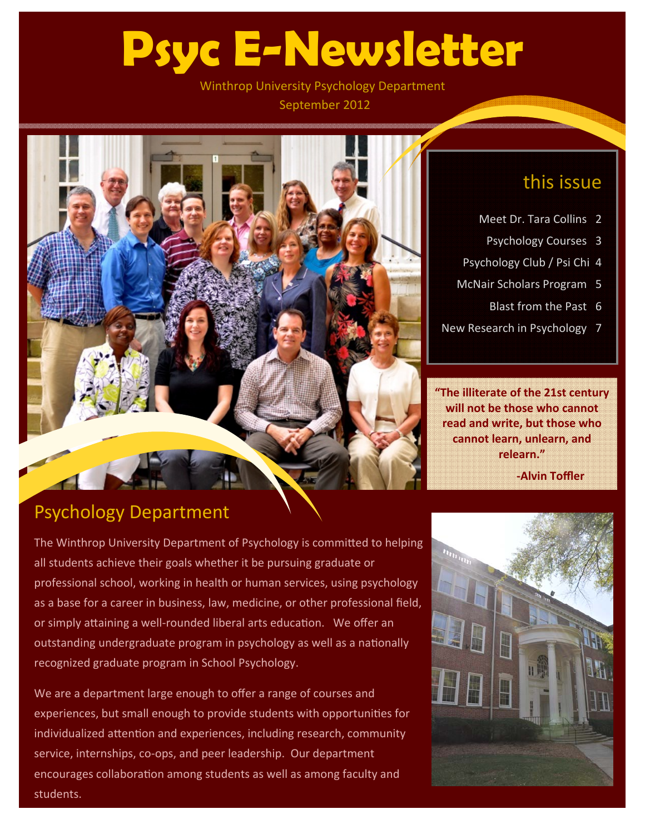# **Psyc E-Newsletter**

Winthrop University Psychology Department September 2012



### this issue

- Meet Dr. Tara Collins 2
	- Psychology Courses 3
- Psychology Club / Psi Chi 4
- McNair Scholars Program 5
	- Blast from the Past 6
- New Research in Psychology 7

**"The illiterate of the 21st century will not be those who cannot read and write, but those who cannot learn, unlearn, and relearn."**

 **‐Alvin Toffler**

### Psychology Department

The Winthrop University Department of Psychology is committed to helping all students achieve their goals whether it be pursuing graduate or professional school, working in health or human services, using psychology as a base for a career in business, law, medicine, or other professional field, or simply attaining a well-rounded liberal arts education. We offer an outstanding undergraduate program in psychology as well as a nationally recognized graduate program in School Psychology.

We are a department large enough to offer a range of courses and experiences, but small enough to provide students with opportunities for individualized attention and experiences, including research, community service, internships, co-ops, and peer leadership. Our department encourages collaboration among students as well as among faculty and students.

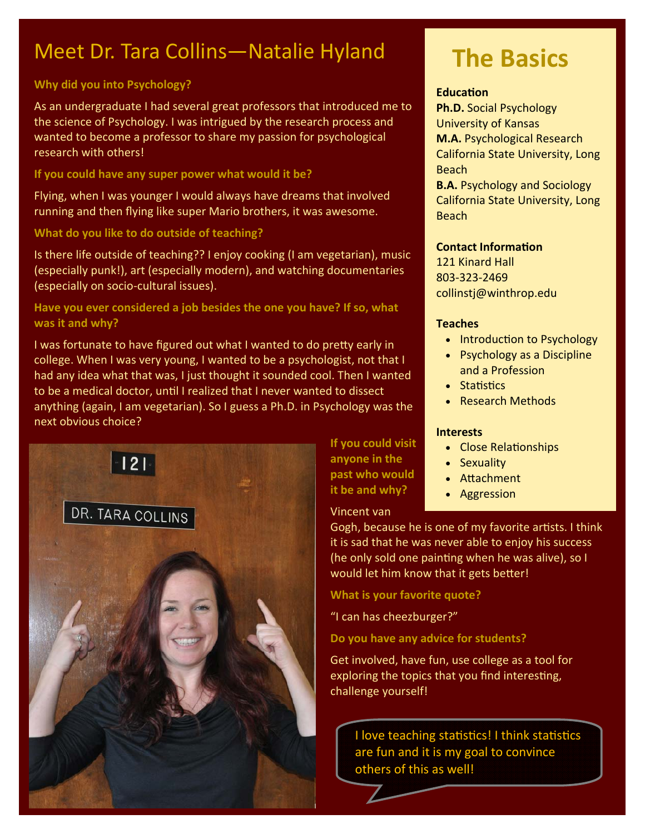### Meet Dr. Tara Collins—Natalie Hyland

### **Why did you into Psychology?**

As an undergraduate I had several great professors that introduced me to the science of Psychology. I was intrigued by the research process and wanted to become a professor to share my passion for psychological research with others!

### **If you could have any super power what would it be?**

Flying, when I was younger I would always have dreams that involved running and then flying like super Mario brothers, it was awesome.

### **What do you like to do outside of teaching?**

Is there life outside of teaching?? I enjoy cooking (I am vegetarian), music (especially punk!), art (especially modern), and watching documentaries (especially on socio‐cultural issues).

### **Have you ever considered a job besides the one you have? If so, what was it and why?**

I was fortunate to have figured out what I wanted to do pretty early in college. When I was very young, I wanted to be a psychologist, not that I had any idea what that was, I just thought it sounded cool. Then I wanted to be a medical doctor, until I realized that I never wanted to dissect anything (again, I am vegetarian). So I guess a Ph.D. in Psychology was the next obvious choice?



**If you could visit anyone in the past who would it be and why?**

### Vincent van

Gogh, because he is one of my favorite artists. I think it is sad that he was never able to enjoy his success (he only sold one painting when he was alive), so I would let him know that it gets better!

**What is your favorite quote?**

"I can has cheezburger?"

**Do you have any advice for students?**

Get involved, have fun, use college as a tool for exploring the topics that you find interesting, challenge yourself!

I love teaching statistics! I think statistics are fun and it is my goal to convince others of this as well!

# **The Basics**

### **EducaƟon**

**Ph.D.** Social Psychology University of Kansas **M.A.** Psychological Research California State University, Long Beach

**B.A.** Psychology and Sociology California State University, Long Beach

### **Contact InformaƟon**

121 Kinard Hall 803‐323‐2469 collinstj@winthrop.edu

### **Teaches**

- Introduction to Psychology
- Psychology as a Discipline and a Profession
- Statistics
- Research Methods

### **Interests**

- Close Relationships
- Sexuality
- Attachment
- Aggression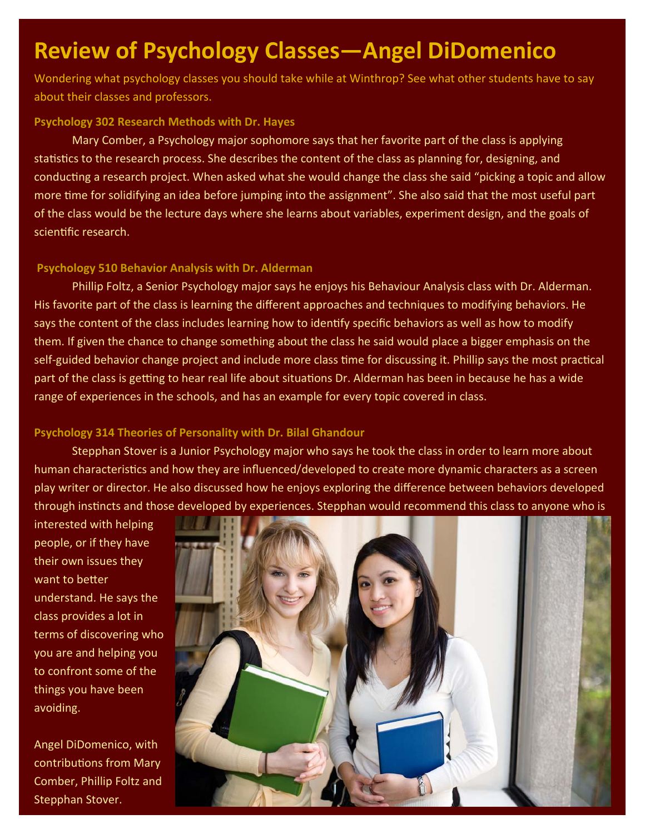# **Review of Psychology Classes—Angel DiDomenico**

Wondering what psychology classes you should take while at Winthrop? See what other students have to say about their classes and professors.

#### **Psychology 302 Research Methods with Dr. Hayes**

Mary Comber, a Psychology major sophomore says that her favorite part of the class is applying statistics to the research process. She describes the content of the class as planning for, designing, and conducting a research project. When asked what she would change the class she said "picking a topic and allow more time for solidifying an idea before jumping into the assignment". She also said that the most useful part of the class would be the lecture days where she learns about variables, experiment design, and the goals of scientific research.

### **Psychology 510 Behavior Analysis with Dr. Alderman**

Phillip Foltz, a Senior Psychology major says he enjoys his Behaviour Analysis class with Dr. Alderman. His favorite part of the class is learning the different approaches and techniques to modifying behaviors. He says the content of the class includes learning how to identify specific behaviors as well as how to modify them. If given the chance to change something about the class he said would place a bigger emphasis on the self-guided behavior change project and include more class time for discussing it. Phillip says the most practical part of the class is getting to hear real life about situations Dr. Alderman has been in because he has a wide range of experiences in the schools, and has an example for every topic covered in class.

### **Psychology 314 Theories of Personality with Dr. Bilal Ghandour**

Stepphan Stover is a Junior Psychology major who says he took the class in order to learn more about human characteristics and how they are influenced/developed to create more dynamic characters as a screen play writer or director. He also discussed how he enjoys exploring the difference between behaviors developed through instincts and those developed by experiences. Stepphan would recommend this class to anyone who is

interested with helping people, or if they have their own issues they want to better understand. He says the class provides a lot in terms of discovering who you are and helping you to confront some of the things you have been avoiding.

Angel DiDomenico, with contributions from Mary Comber, Phillip Foltz and Stepphan Stover.

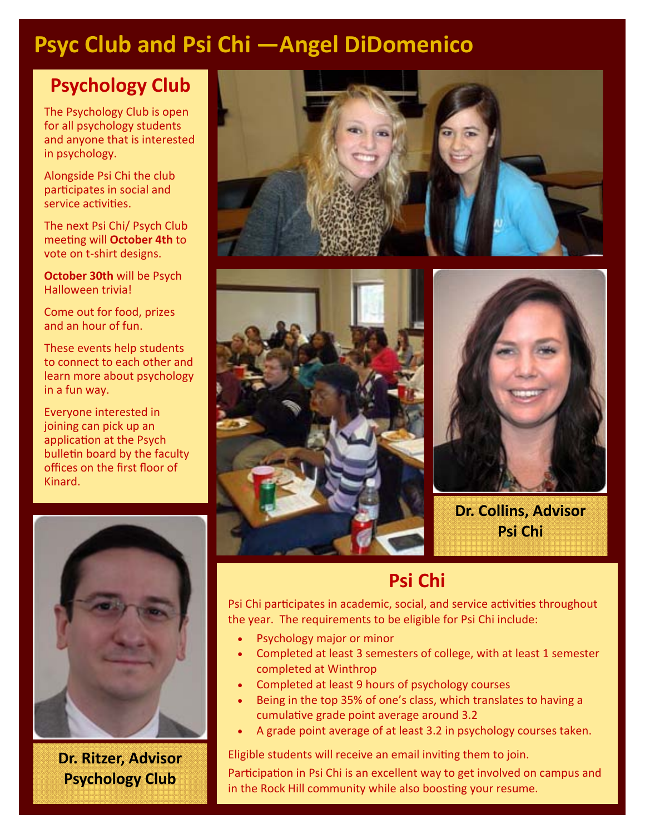### **Psyc Club and Psi Chi —Angel DiDomenico**

### **Psychology Club**

The Psychology Club is open for all psychology students and anyone that is interested in psychology.

Alongside Psi Chi the club participates in social and service activities.

The next Psi Chi/ Psych Club meeƟng will **October 4th** to vote on t‐shirt designs.

**October 30th** will be Psych Halloween trivia!

Come out for food, prizes and an hour of fun.

These events help students to connect to each other and learn more about psychology in a fun way.

Everyone interested in joining can pick up an application at the Psych bulletin board by the faculty offices on the first floor of Kinard.



**Dr. Ritzer, Advisor Psychology Club**







**Dr. Collins, Advisor Psi Chi**

### **Psi Chi**

Psi Chi participates in academic, social, and service activities throughout the year. The requirements to be eligible for Psi Chi include:

- Psychology major or minor
- Completed at least 3 semesters of college, with at least 1 semester completed at Winthrop
- Completed at least 9 hours of psychology courses
- Being in the top 35% of one's class, which translates to having a cumulative grade point average around 3.2
- A grade point average of at least 3.2 in psychology courses taken.

Eligible students will receive an email inviting them to join.

Participation in Psi Chi is an excellent way to get involved on campus and in the Rock Hill community while also boosting your resume.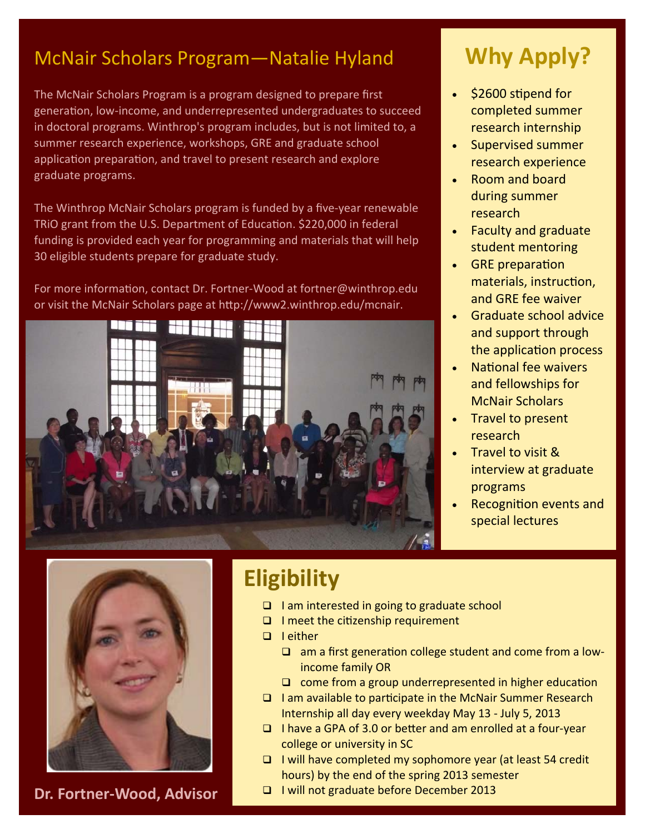### McNair Scholars Program—Natalie Hyland

The McNair Scholars Program is a program designed to prepare first generation, low-income, and underrepresented undergraduates to succeed in doctoral programs. Winthrop's program includes, but is not limited to, a summer research experience, workshops, GRE and graduate school application preparation, and travel to present research and explore graduate programs.

The Winthrop McNair Scholars program is funded by a five‐year renewable TRIO grant from the U.S. Department of Education. \$220,000 in federal funding is provided each year for programming and materials that will help 30 eligible students prepare for graduate study.

For more information, contact Dr. Fortner-Wood at fortner@winthrop.edu or visit the McNair Scholars page at http://www2.winthrop.edu/mcnair.



# **Why Apply?**

- $\cdot$  \$2600 stipend for completed summer research internship
- Supervised summer research experience
- Room and board during summer research
- Faculty and graduate student mentoring
- GRE preparation materials, instruction, and GRE fee waiver
- Graduate school advice and support through the application process
- National fee waivers and fellowships for McNair Scholars
- Travel to present research
- Travel to visit & interview at graduate programs
- Recognition events and special lectures



**Dr. Fortner‐Wood, Advisor**

## **Eligibility**

- □ I am interested in going to graduate school
- $\Box$  I meet the citizenship requirement
- □ I either
	- □ am a first generation college student and come from a lowincome family OR
	- $\Box$  come from a group underrepresented in higher education
- $\Box$  I am available to participate in the McNair Summer Research Internship all day every weekday May 13 ‐ July 5, 2013
- □ I have a GPA of 3.0 or better and am enrolled at a four-year college or university in SC
- $\Box$  I will have completed my sophomore year (at least 54 credit hours) by the end of the spring 2013 semester
- I will not graduate before December 2013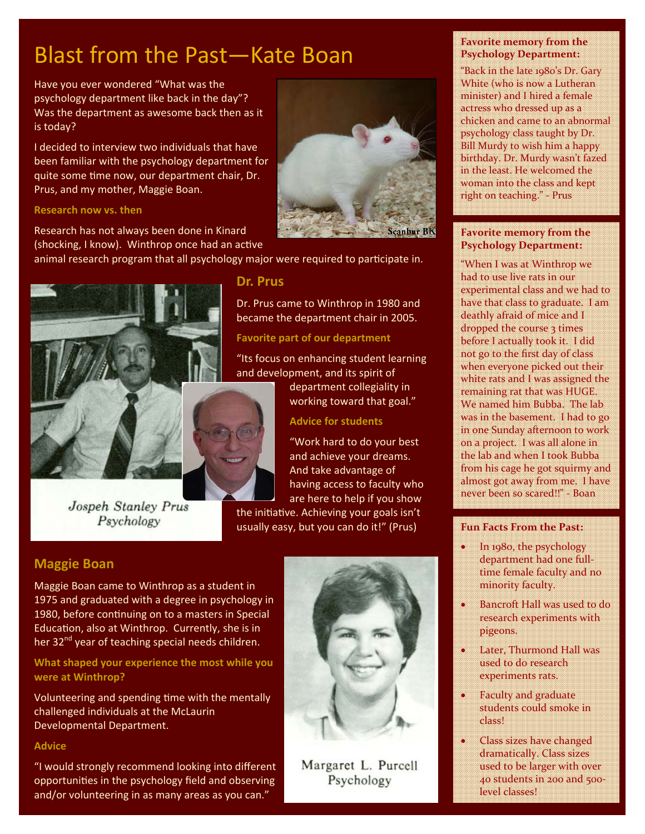# Blast from the Past—Kate Boan

Have you ever wondered "What was the psychology department like back in the day"? Was the department as awesome back then as it is today?

I decided to interview two individuals that have been familiar with the psychology department for quite some time now, our department chair, Dr. Prus, and my mother, Maggie Boan.

#### **Research now vs. then**

Research has not always been done in Kinard (shocking, I know). Winthrop once had an active

animal research program that all psychology major were required to participate in.

**Dr. Prus** 



and development, and its spirit of

Jospeh Stanley Prus Psychology

### **Maggie Boan**

Maggie Boan came to Winthrop as a student in 1975 and graduated with a degree in psychology in 1980, before continuing on to a masters in Special Education, also at Winthrop. Currently, she is in her  $32<sup>nd</sup>$  year of teaching special needs children.

**What shaped your experience the most while you were at Winthrop?**

Volunteering and spending time with the mentally challenged individuals at the McLaurin Developmental Department.

#### **Advice**

"I would strongly recommend looking into different opportunities in the psychology field and observing and/or volunteering in as many areas as you can."



Dr. Prus came to Winthrop in 1980 and became the department chair in 2005.

"Its focus on enhancing student learning

**Advice for students**

the initiative. Achieving your goals isn't usually easy, but you can do it!" (Prus)

department collegiality in working toward that goal."

"Work hard to do your best and achieve your dreams. And take advantage of having access to faculty who are here to help if you show

**Favorite part of our department**

#### **Favorite memory from the Psychology Department:**

"Back in the late 1980's Dr. Gary White (who is now a Lutheran minister) and I hired a female actress who dressed up as a chicken and came to an abnormal psychology class taught by Dr. Bill Murdy to wish him a happy birthday. Dr. Murdy wasn't fazed in the least. He welcomed the woman into the class and kept right on teaching." ‐ Prus

#### **Favorite memory from the Psychology Department:**

"When I was at Winthrop we had to use live rats in our experimental class and we had to have that class to graduate. I am deathly afraid of mice and I dropped the course 3 times before I actually took it. I did not go to the first day of class when everyone picked out their white rats and I was assigned the remaining rat that was HUGE. We named him Bubba. The lab was in the basement. I had to go in one Sunday afternoon to work on a project. I was all alone in the lab and when I took Bubba from his cage he got squirmy and almost got away from me. I have never been so scared!!" ‐ Boan

#### **Fun Facts From the Past:**

- In 1980, the psychology department had one full‐ time female faculty and no minority faculty.
- Bancroft Hall was used to do research experiments with pigeons.
- Later, Thurmond Hall was used to do research experiments rats.
- Faculty and graduate students could smoke in class!
- Class sizes have changed dramatically. Class sizes used to be larger with over 40 students in 200 and 500‐ level classes!



Margaret L. Purcell Psychology